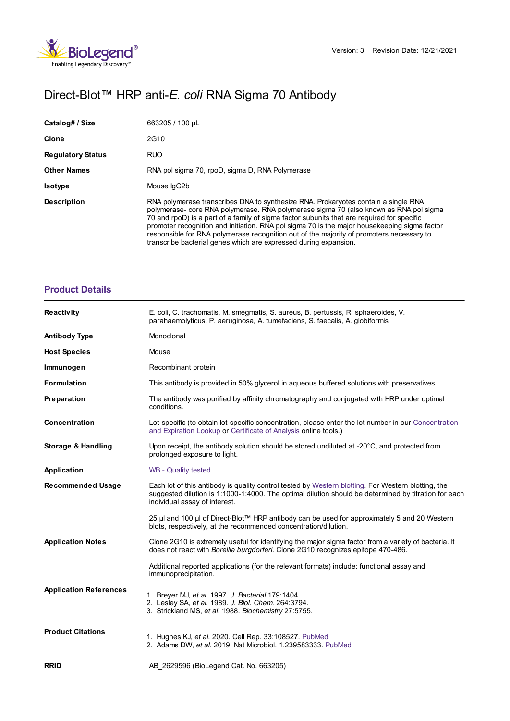

# Direct-Blot™ HRP anti-*E. coli* RNA Sigma 70 Antibody

| Catalog# / Size          | 663205 / 100 µL                                                                                                                                                                                                                                                                                                                                                                                                                                                                                                                            |
|--------------------------|--------------------------------------------------------------------------------------------------------------------------------------------------------------------------------------------------------------------------------------------------------------------------------------------------------------------------------------------------------------------------------------------------------------------------------------------------------------------------------------------------------------------------------------------|
| Clone                    | 2G10                                                                                                                                                                                                                                                                                                                                                                                                                                                                                                                                       |
| <b>Regulatory Status</b> | <b>RUO</b>                                                                                                                                                                                                                                                                                                                                                                                                                                                                                                                                 |
| <b>Other Names</b>       | RNA pol sigma 70, rpoD, sigma D, RNA Polymerase                                                                                                                                                                                                                                                                                                                                                                                                                                                                                            |
| <b>Isotype</b>           | Mouse IgG2b                                                                                                                                                                                                                                                                                                                                                                                                                                                                                                                                |
| <b>Description</b>       | RNA polymerase transcribes DNA to synthesize RNA. Prokaryotes contain a single RNA<br>polymerase- core RNA polymerase. RNA polymerase sigma 70 (also known as RNA pol sigma<br>70 and rpoD) is a part of a family of sigma factor subunits that are required for specific<br>promoter recognition and initiation. RNA pol sigma 70 is the major house keeping sigma factor<br>responsible for RNA polymerase recognition out of the majority of promoters necessary to<br>transcribe bacterial genes which are expressed during expansion. |

## **[Product](https://www.biolegend.com/en-ie/products/direct-blot-hrp-anti-eme-coli-em-rna-sigma-70-antibody-13486?pdf=true&displayInline=true&leftRightMargin=15&topBottomMargin=15&filename=Direct-Blot%EF%BF%BD%EF%BF%BD%EF%BF%BD HRP anti-%3Cem%3EE. coli%3C/em%3E RNA Sigma 70 Antibody.pdf#productDetails) Details**

| <b>Reactivity</b>             | E. coli, C. trachomatis, M. smegmatis, S. aureus, B. pertussis, R. sphaeroides, V.<br>parahaemolyticus, P. aeruginosa, A. tumefaciens, S. faecalis, A. globiformis                                                                          |
|-------------------------------|---------------------------------------------------------------------------------------------------------------------------------------------------------------------------------------------------------------------------------------------|
| <b>Antibody Type</b>          | Monoclonal                                                                                                                                                                                                                                  |
| <b>Host Species</b>           | Mouse                                                                                                                                                                                                                                       |
| Immunogen                     | Recombinant protein                                                                                                                                                                                                                         |
| <b>Formulation</b>            | This antibody is provided in 50% glycerol in aqueous buffered solutions with preservatives.                                                                                                                                                 |
| Preparation                   | The antibody was purified by affinity chromatography and conjugated with HRP under optimal<br>conditions.                                                                                                                                   |
| <b>Concentration</b>          | Lot-specific (to obtain lot-specific concentration, please enter the lot number in our Concentration<br>and Expiration Lookup or Certificate of Analysis online tools.)                                                                     |
| <b>Storage &amp; Handling</b> | Upon receipt, the antibody solution should be stored undiluted at -20°C, and protected from<br>prolonged exposure to light.                                                                                                                 |
| Application                   | WB - Quality tested                                                                                                                                                                                                                         |
| <b>Recommended Usage</b>      | Each lot of this antibody is quality control tested by Western blotting. For Western blotting, the<br>suggested dilution is 1:1000-1:4000. The optimal dilution should be determined by titration for each<br>individual assay of interest. |
|                               | 25 µl and 100 µl of Direct-Blot™ HRP antibody can be used for approximately 5 and 20 Western<br>blots, respectively, at the recommended concentration/dilution.                                                                             |
| <b>Application Notes</b>      | Clone 2G10 is extremely useful for identifying the major sigma factor from a variety of bacteria. It<br>does not react with Borellia burgdorferi. Clone 2G10 recognizes epitope 470-486.                                                    |
|                               | Additional reported applications (for the relevant formats) include: functional assay and<br>immunoprecipitation.                                                                                                                           |
| <b>Application References</b> | 1. Breyer MJ, et al. 1997. J. Bacterial 179:1404.<br>2. Lesley SA, et al. 1989. J. Biol. Chem. 264:3794.<br>3. Strickland MS, et al. 1988. Biochemistry 27:5755.                                                                            |
| <b>Product Citations</b>      | 1. Hughes KJ, et al. 2020. Cell Rep. 33:108527. PubMed<br>2. Adams DW, et al. 2019. Nat Microbiol. 1.239583333. PubMed                                                                                                                      |
| <b>RRID</b>                   | AB 2629596 (BioLegend Cat. No. 663205)                                                                                                                                                                                                      |